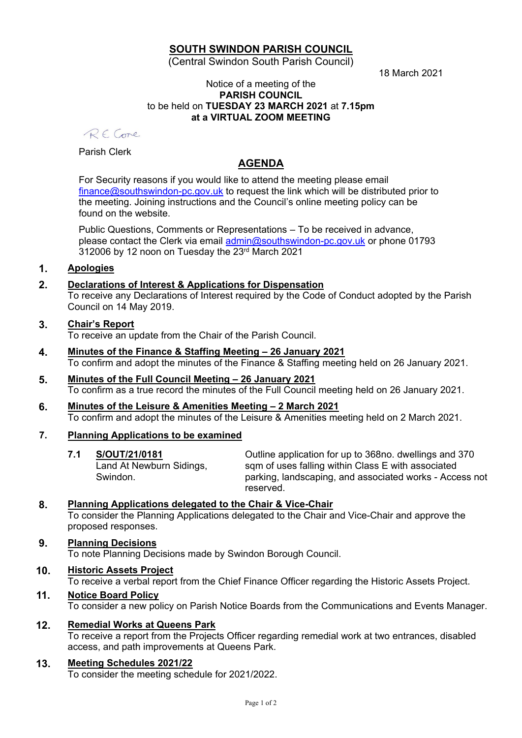# **SOUTH SWINDON PARISH COUNCIL**

(Central Swindon South Parish Council)

18 March 2021

#### Notice of a meeting of the **PARISH COUNCIL** to be held on **TUESDAY 23 MARCH 2021** at **7.15pm at a VIRTUAL ZOOM MEETING**

RF Come

Parish Clerk

# **AGENDA**

For Security reasons if you would like to attend the meeting please email [finance@southswindon-pc.gov.uk](mailto:finance@southswindon-pc.gov.uk) to request the link which will be distributed prior to the meeting. Joining instructions and the Council's online meeting policy can be found on the website.

Public Questions, Comments or Representations – To be received in advance, please contact the Clerk via email [admin@southswindon-pc.gov.uk](mailto:admin@southswindon-pc.gov.uk) or phone 01793 312006 by 12 noon on Tuesday the 23<sup>rd</sup> March 2021

# **1. Apologies**

# **2. Declarations of Interest & Applications for Dispensation**

To receive any Declarations of Interest required by the Code of Conduct adopted by the Parish Council on 14 May 2019.

### **3. Chair's Report**

To receive an update from the Chair of the Parish Council.

- **4. Minutes of the Finance & Staffing Meeting – 26 January 2021** To confirm and adopt the minutes of the Finance & Staffing meeting held on 26 January 2021.
- **5. Minutes of the Full Council Meeting – 26 January 2021** To confirm as a true record the minutes of the Full Council meeting held on 26 January 2021.
- **6. Minutes of the Leisure & Amenities Meeting – 2 March 2021** To confirm and adopt the minutes of the Leisure & Amenities meeting held on 2 March 2021.

### **7. Planning Applications to be examined**

**7.1 S/OUT/21/0181** Land At Newburn Sidings, Swindon. Outline application for up to 368no. dwellings and 370 sqm of uses falling within Class E with associated parking, landscaping, and associated works - Access not reserved.

### **8. Planning Applications delegated to the Chair & Vice-Chair**

To consider the Planning Applications delegated to the Chair and Vice-Chair and approve the proposed responses.

### **9. Planning Decisions**

To note Planning Decisions made by Swindon Borough Council.

### **10. Historic Assets Project**

To receive a verbal report from the Chief Finance Officer regarding the Historic Assets Project.

# **11. Notice Board Policy** To consider a new policy on Parish Notice Boards from the Communications and Events Manager.

### **12. Remedial Works at Queens Park**

To receive a report from the Projects Officer regarding remedial work at two entrances, disabled access, and path improvements at Queens Park.

### **13. Meeting Schedules 2021/22**

To consider the meeting schedule for 2021/2022.